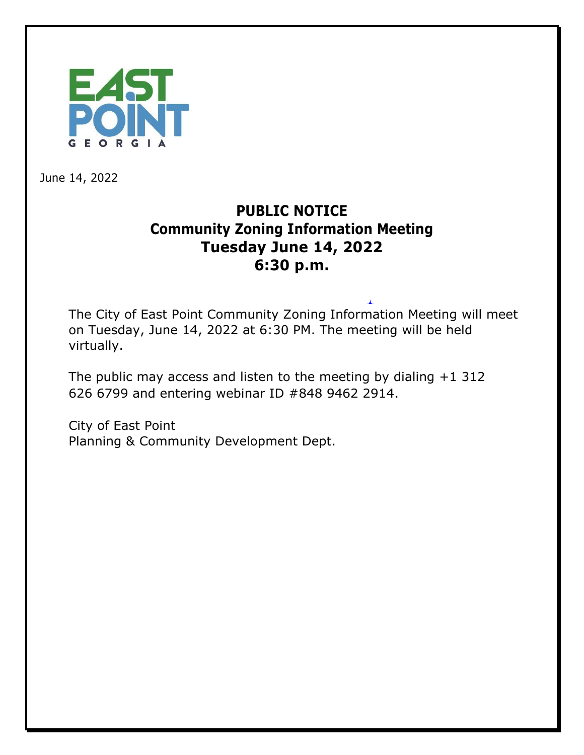

June 14, 2022

## **PUBLIC NOTICE Community Zoning Information Meeting Tuesday June 14, 2022 6:30 p.m.**

The City of East Point Community Zoning Information Meeting will meet on Tuesday, June 14, 2022 at 6:30 PM. The meeting will be held virtually.

The public may access and listen to the meeting by dialing +1 312 626 6799 and entering webinar ID #848 9462 2914.

City of East Point Planning & Community Development Dept.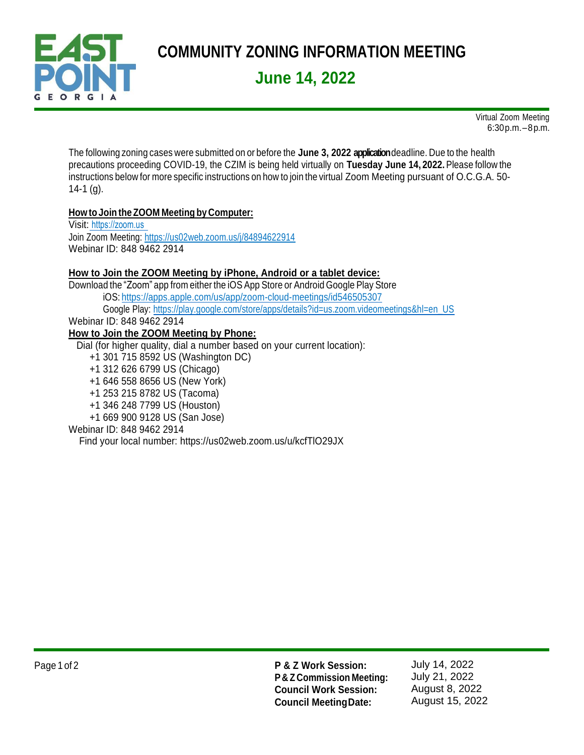

Virtual Zoom Meeting 6:30p.m.–8p.m.

The following zoning cases were submitted on or before the **June 3, 2022 application**deadline. Due to the health precautions proceeding COVID-19, the CZIM is being held virtually on **Tuesday June 14, 2022.**Please follow the instructions below for more specific instructions on how to join the virtual Zoom Meeting pursuant of O.C.G.A. 50-  $14-1$  (g).

#### **How to Join the ZOOM Meeting by Computer:**

Visit: [https://zoom.us](https://zoom.us/) Join Zoom Meeting[: https://us02web.zoom.us/j/84894622914](https://us02web.zoom.us/j/84894622914) Webinar ID: 848 9462 2914

#### **How to Join the ZOOM Meeting by iPhone, Android or a tablet device:**

Download the "Zoom" app from either the iOS App Store or Android Google Play Store iOS: <https://apps.apple.com/us/app/zoom-cloud-meetings/id546505307> Google Play: [https://play.google.com/store/apps/details?id=us.zoom.videomeetings&hl=en\\_US](https://play.google.com/store/apps/details?id=us.zoom.videomeetings&hl=en_US) Webinar ID: 848 9462 2914 **How to Join the ZOOM Meeting by Phone:**

Dial (for higher quality, dial a number based on your current location):

+1 301 715 8592 US (Washington DC)

+1 312 626 6799 US (Chicago)

+1 646 558 8656 US (New York)

+1 253 215 8782 US (Tacoma)

+1 346 248 7799 US (Houston)

+1 669 900 9128 US (San Jose)

#### Webinar ID: 848 9462 2914

Find your local number: https://us02web.zoom.us/u/kcfTlO29JX

Page 1 of 2 **P & Z Work Session: P & Z Commission Meeting: Council Work Session: Council MeetingDate:**

July 14, 2022 July 21, 2022 August 8, 2022 August 15, 2022